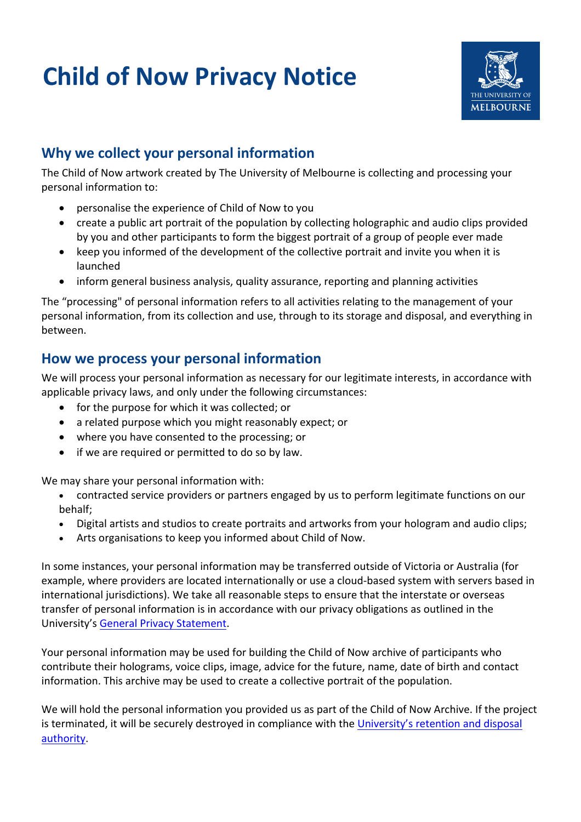# **Child of Now Privacy Notice**



## **Why we collect your personal information**

The Child of Now artwork created by The University of Melbourne is collecting and processing your personal information to:

- personalise the experience of Child of Now to you
- create a public art portrait of the population by collecting holographic and audio clips provided by you and other participants to form the biggest portrait of a group of people ever made
- keep you informed of the development of the collective portrait and invite you when it is launched
- inform general business analysis, quality assurance, reporting and planning activities

The "processing" of personal information refers to all activities relating to the management of your personal information, from its collection and use, through to its storage and disposal, and everything in between.

#### **How we process your personal information**

We will process your personal information as necessary for our legitimate interests, in accordance with applicable privacy laws, and only under the following circumstances:

- for the purpose for which it was collected; or
- a related purpose which you might reasonably expect; or
- where you have consented to the processing; or
- if we are required or permitted to do so by law.

We may share your personal information with:

- contracted service providers or partners engaged by us to perform legitimate functions on our behalf;
- Digital artists and studios to create portraits and artworks from your hologram and audio clips;
- Arts organisations to keep you informed about Child of Now.

In some instances, your personal information may be transferred outside of Victoria or Australia (for example, where providers are located internationally or use a cloud-based system with servers based in international jurisdictions). We take all reasonable steps to ensure that the interstate or overseas transfer of personal information is in accordance with our privacy obligations as outlined in the University's [General Privacy Statement](https://about.unimelb.edu.au/strategy/governance/compliance-obligations/privacy/privacy-statements/general-privacy-statement).

Your personal information may be used for building the Child of Now archive of participants who contribute their holograms, voice clips, image, advice for the future, name, date of birth and contact information. This archive may be used to create a collective portrait of the population.

We will hold the personal information you provided us as part of the Child of Now Archive. If the project is terminated, it will be securely destroyed in compliance with the [University's retention and disposal](https://records.unimelb.edu.au/services/disposal_advice/rda) [authority](https://records.unimelb.edu.au/services/disposal_advice/rda).